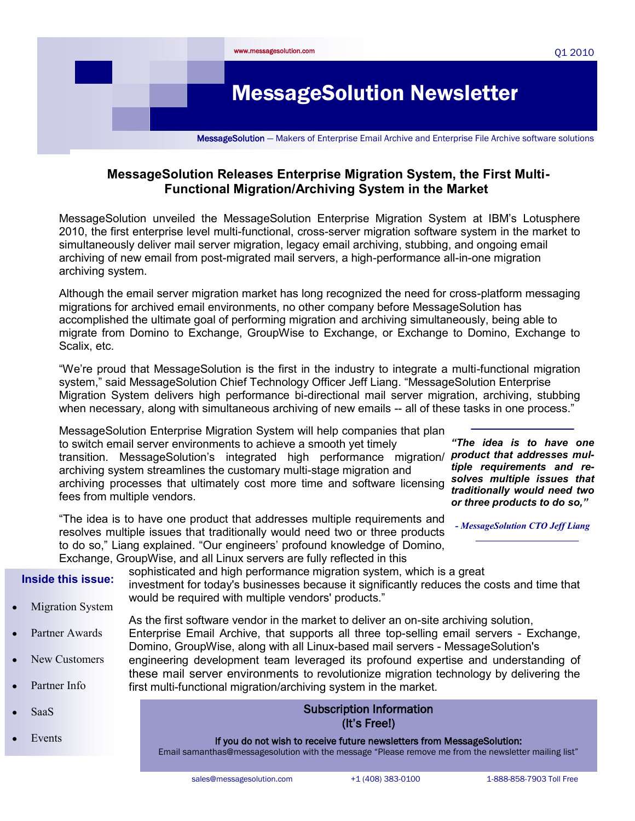

## **MessageSolution Releases Enterprise Migration System, the First Multi-Functional Migration/Archiving System in the Market**

MessageSolution unveiled the MessageSolution Enterprise Migration System at IBM's Lotusphere 2010, the first enterprise level multi-functional, cross-server migration software system in the market to simultaneously deliver mail server migration, legacy email archiving, stubbing, and ongoing email archiving of new email from post-migrated mail servers, a high-performance all-in-one migration archiving system.

Although the email server migration market has long recognized the need for cross-platform messaging migrations for archived email environments, no other company before MessageSolution has accomplished the ultimate goal of performing migration and archiving simultaneously, being able to migrate from Domino to Exchange, GroupWise to Exchange, or Exchange to Domino, Exchange to Scalix, etc.

"We're proud that MessageSolution is the first in the industry to integrate a multi-functional migration system," said MessageSolution Chief Technology Officer Jeff Liang. "MessageSolution Enterprise Migration System delivers high performance bi-directional mail server migration, archiving, stubbing when necessary, along with simultaneous archiving of new emails -- all of these tasks in one process."

MessageSolution Enterprise Migration System will help companies that plan to switch email server environments to achieve a smooth yet timely transition. MessageSolution's integrated high performance migration/ **product that addresses mul**archiving system streamlines the customary multi-stage migration and archiving processes that ultimately cost more time and software licensing fees from multiple vendors.

*"The idea is to have one tiple requirements and resolves multiple issues that traditionally would need two or three products to do so,"* 

"The idea is to have one product that addresses multiple requirements and resolves multiple issues that traditionally would need two or three products to do so," Liang explained. "Our engineers' profound knowledge of Domino,

*- MessageSolution CTO Jeff Liang*

| Exchange, GroupWise, and all Linux servers are fully reflected in this |                                                                                                                                                                                                                                                                                                                                                                                                                                                                                                                       |
|------------------------------------------------------------------------|-----------------------------------------------------------------------------------------------------------------------------------------------------------------------------------------------------------------------------------------------------------------------------------------------------------------------------------------------------------------------------------------------------------------------------------------------------------------------------------------------------------------------|
| <b>Inside this issue:</b><br><b>Migration System</b>                   | sophisticated and high performance migration system, which is a great<br>investment for today's businesses because it significantly reduces the costs and time that<br>would be required with multiple vendors' products."                                                                                                                                                                                                                                                                                            |
| Partner Awards<br>New Customers<br>Partner Info                        | As the first software vendor in the market to deliver an on-site archiving solution,<br>Enterprise Email Archive, that supports all three top-selling email servers - Exchange,<br>Domino, GroupWise, along with all Linux-based mail servers - MessageSolution's<br>engineering development team leveraged its profound expertise and understanding of<br>these mail server environments to revolutionize migration technology by delivering the<br>first multi-functional migration/archiving system in the market. |
| <b>SaaS</b>                                                            | <b>Subscription Information</b><br>(It's Free!)                                                                                                                                                                                                                                                                                                                                                                                                                                                                       |
| Events                                                                 | If you do not wish to receive future newsletters from MessageSolution:                                                                                                                                                                                                                                                                                                                                                                                                                                                |

Email samanthas@messagesolution with the message "Please remove me from the newsletter mailing list"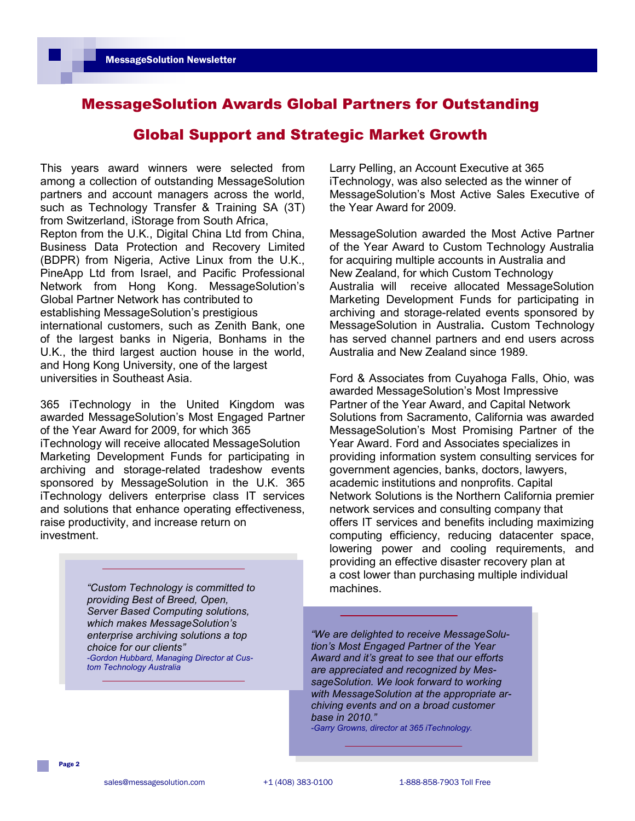## MessageSolution Awards Global Partners for Outstanding

### Global Support and Strategic Market Growth

This years award winners were selected from among a collection of outstanding MessageSolution partners and account managers across the world, such as Technology Transfer & Training SA (3T) from Switzerland, iStorage from South Africa, Repton from the U.K., Digital China Ltd from China, Business Data Protection and Recovery Limited (BDPR) from Nigeria, Active Linux from the U.K., PineApp Ltd from Israel, and Pacific Professional Network from Hong Kong. MessageSolution's Global Partner Network has contributed to establishing MessageSolution's prestigious international customers, such as Zenith Bank, one of the largest banks in Nigeria, Bonhams in the U.K., the third largest auction house in the world,

and Hong Kong University, one of the largest universities in Southeast Asia.

365 iTechnology in the United Kingdom was awarded MessageSolution's Most Engaged Partner of the Year Award for 2009, for which 365 iTechnology will receive allocated MessageSolution Marketing Development Funds for participating in archiving and storage-related tradeshow events sponsored by MessageSolution in the U.K. 365 iTechnology delivers enterprise class IT services and solutions that enhance operating effectiveness, raise productivity, and increase return on investment.

> *"Custom Technology is committed to* machines. *providing Best of Breed, Open, Server Based Computing solutions, which makes MessageSolution's enterprise archiving solutions a top choice for our clients" -Gordon Hubbard, Managing Director at Custom Technology Australia*

Larry Pelling, an Account Executive at 365 iTechnology, was also selected as the winner of MessageSolution's Most Active Sales Executive of the Year Award for 2009.

MessageSolution awarded the Most Active Partner of the Year Award to Custom Technology Australia for acquiring multiple accounts in Australia and New Zealand, for which Custom Technology Australia will receive allocated MessageSolution Marketing Development Funds for participating in archiving and storage-related events sponsored by MessageSolution in Australia**.** Custom Technology has served channel partners and end users across Australia and New Zealand since 1989.

Ford & Associates from Cuyahoga Falls, Ohio, was awarded MessageSolution's Most Impressive Partner of the Year Award, and Capital Network Solutions from Sacramento, California was awarded MessageSolution's Most Promising Partner of the Year Award. Ford and Associates specializes in providing information system consulting services for government agencies, banks, doctors, lawyers, academic institutions and nonprofits. Capital Network Solutions is the Northern California premier network services and consulting company that offers IT services and benefits including maximizing computing efficiency, reducing datacenter space, lowering power and cooling requirements, and providing an effective disaster recovery plan at a cost lower than purchasing multiple individual

*"We are delighted to receive MessageSolution's Most Engaged Partner of the Year Award and it's great to see that our efforts are appreciated and recognized by MessageSolution. We look forward to working with MessageSolution at the appropriate archiving events and on a broad customer base in 2010."*

*-Garry Growns, director at 365 iTechnology.*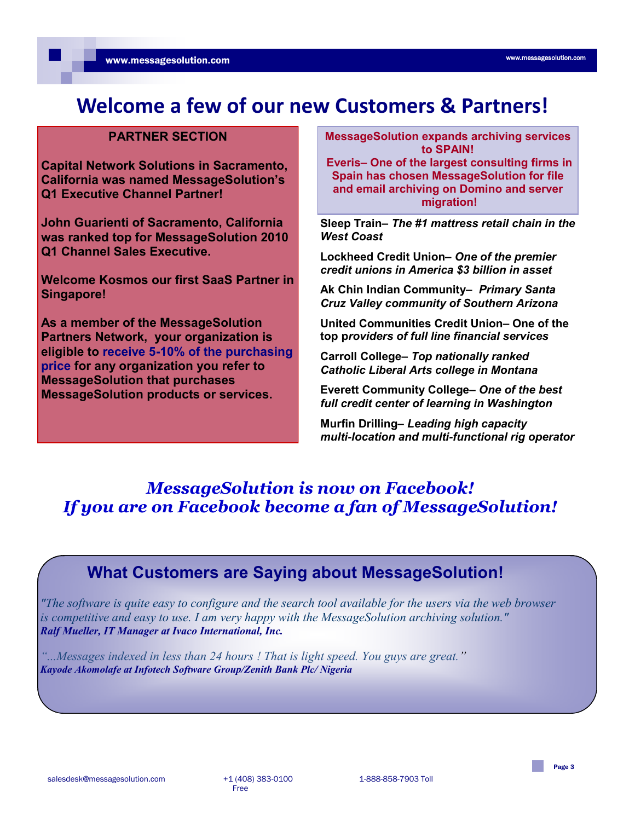# **Welcome a few of our new Customers & Partners!**

### **PARTNER SECTION**

**Capital Network Solutions in Sacramento, California was named MessageSolution's Q1 Executive Channel Partner!**

**John Guarienti of Sacramento, California was ranked top for MessageSolution 2010 Q1 Channel Sales Executive.**

**Welcome Kosmos our first SaaS Partner in Singapore!**

**As a member of the MessageSolution Partners Network, your organization is eligible to receive 5-10% of the purchasing price for any organization you refer to MessageSolution that purchases MessageSolution products or services.**

**MessageSolution expands archiving services to SPAIN!**

**Everis– One of the largest consulting firms in Spain has chosen MessageSolution for file and email archiving on Domino and server migration!**

**Sleep Train–** *The #1 mattress retail chain in the West Coast*

**Lockheed Credit Union–** *One of the premier credit unions in America \$3 billion in asset*

**Ak Chin Indian Community–** *Primary Santa Cruz Valley community of Southern Arizona*

**United Communities Credit Union– One of the top p***roviders of full line financial services*

**Carroll College–** *Top nationally ranked Catholic Liberal Arts college in Montana*

**Everett Community College–** *One of the best full credit center of learning in Washington*

**Murfin Drilling***– Leading high capacity multi-location and multi-functional rig operator* 

## *MessageSolution is now on Facebook! If you are on Facebook become a fan of MessageSolution!*

## **What Customers are Saying about MessageSolution!**

*"The software is quite easy to configure and the search tool available for the users via the web browser is competitive and easy to use. I am very happy with the MessageSolution archiving solution." Ralf Mueller, IT Manager at Ivaco International, Inc.*

*"...Messages indexed in less than 24 hours ! That is light speed. You guys are great." Kayode Akomolafe at Infotech Software Group/Zenith Bank Plc/ Nigeria*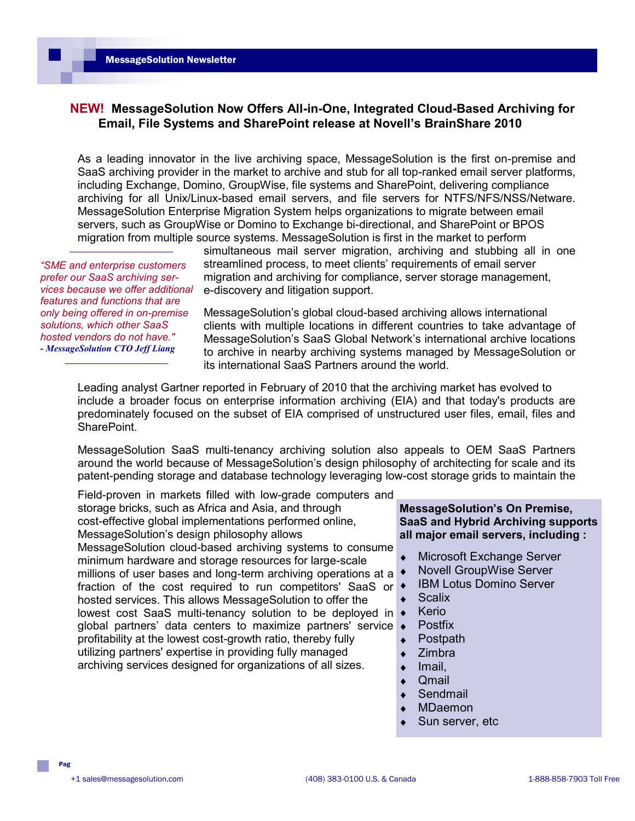### **NEW! MessageSolution Now Offers All-in-One, Integrated Cloud-Based Archiving for Email, File Systems and SharePoint release at Novell's BrainShare 2010**

As a leading innovator in the live archiving space, MessageSolution is the first on-premise and SaaS archiving provider in the market to archive and stub for all top-ranked email server platforms, including Exchange, Domino, GroupWise, file systems and SharePoint, delivering compliance archiving for all Unix/Linux-based email servers, and file servers for NTFS/NFS/NSS/Netware. MessageSolution Enterprise Migration System helps organizations to migrate between email servers, such as GroupWise or Domino to Exchange bi-directional, and SharePoint or BPOS migration from multiple source systems. MessageSolution is first in the market to perform

*"SME and enterprise customers prefer our SaaS archiving services because we offer additional features and functions that are only being offered in on-premise solutions, which other SaaS hosted vendors do not have." - MessageSolution CTO Jeff Liang*

simultaneous mail server migration, archiving and stubbing all in one streamlined process, to meet clients' requirements of email server migration and archiving for compliance, server storage management, e-discovery and litigation support.

MessageSolution's global cloud-based archiving allows international clients with multiple locations in different countries to take advantage of MessageSolution's SaaS Global Network's international archive locations to archive in nearby archiving systems managed by MessageSolution or its international SaaS Partners around the world.

Leading analyst Gartner reported in February of 2010 that the archiving market has evolved to include a broader focus on enterprise information archiving (EIA) and that today's products are predominately focused on the subset of EIA comprised of unstructured user files, email, files and SharePoint.

MessageSolution SaaS multi-tenancy archiving solution also appeals to OEM SaaS Partners around the world because of MessageSolution's design philosophy of architecting for scale and its patent-pending storage and database technology leveraging low-cost storage grids to maintain the

Field-proven in markets filled with low-grade computers and storage bricks, such as Africa and Asia, and through cost-effective global implementations performed online, MessageSolution's design philosophy allows MessageSolution cloud-based archiving systems to consume minimum hardware and storage resources for large-scale millions of user bases and long-term archiving operations at a fraction of the cost required to run competitors' SaaS or hosted services. This allows MessageSolution to offer the lowest cost SaaS multi-tenancy solution to be deployed in  $\rightarrow$ global partners' data centers to maximize partners' service profitability at the lowest cost-growth ratio, thereby fully utilizing partners' expertise in providing fully managed archiving services designed for organizations of all sizes.

**MessageSolution's On Premise, SaaS and Hybrid Archiving supports all major email servers, including :**

- Microsoft Exchange Server
- Novell GroupWise Server
- IBM Lotus Domino Server  $\bullet$
- **Scalix**
- Kerio
- Postfix
- Postpath  $\blacklozenge$
- Zimbra
- Imail,  $\ddot{\bullet}$
- Qmail
- **Sendmail**  $\ddot{\bullet}$
- MDaemon
- Sun server, etc

Pag